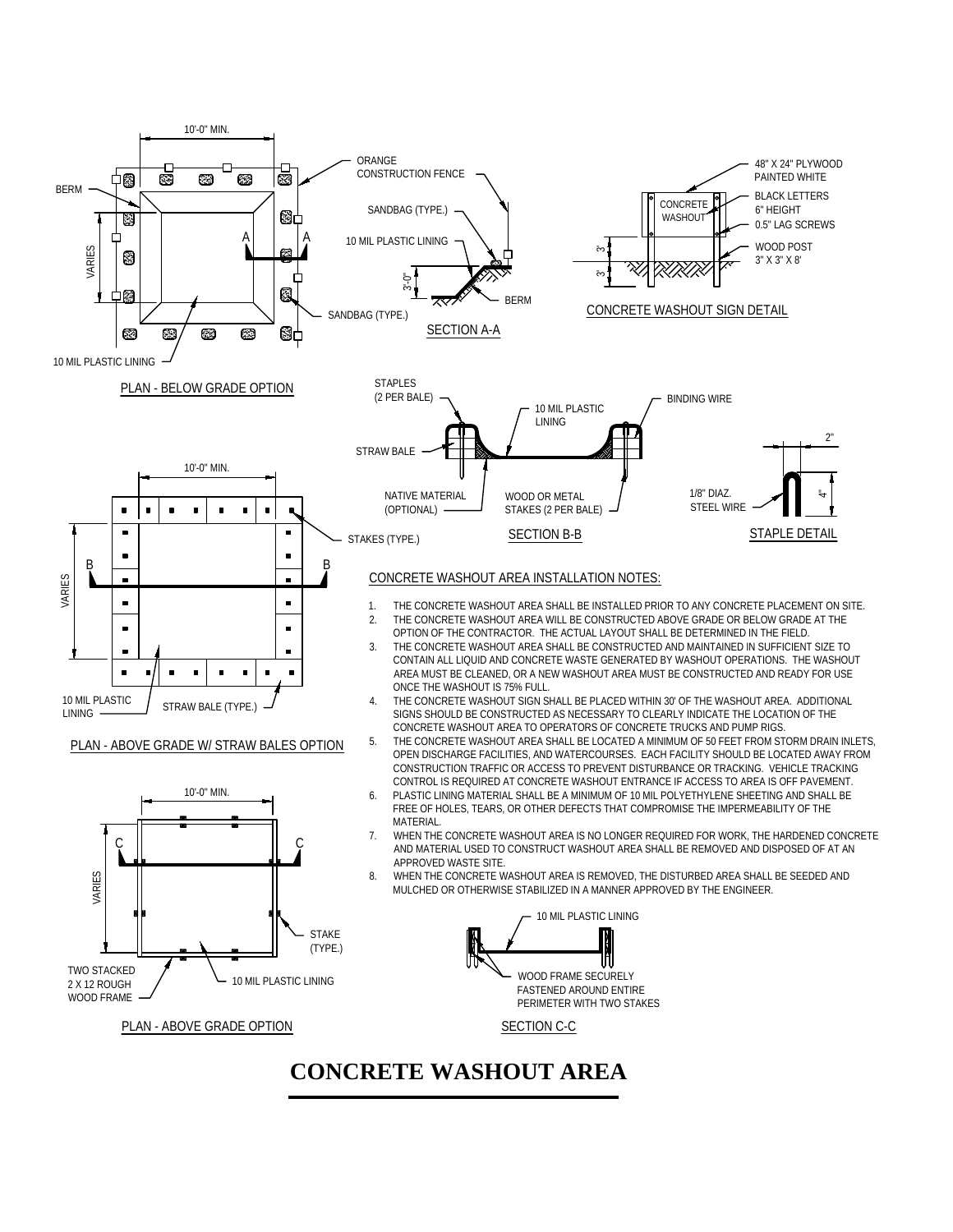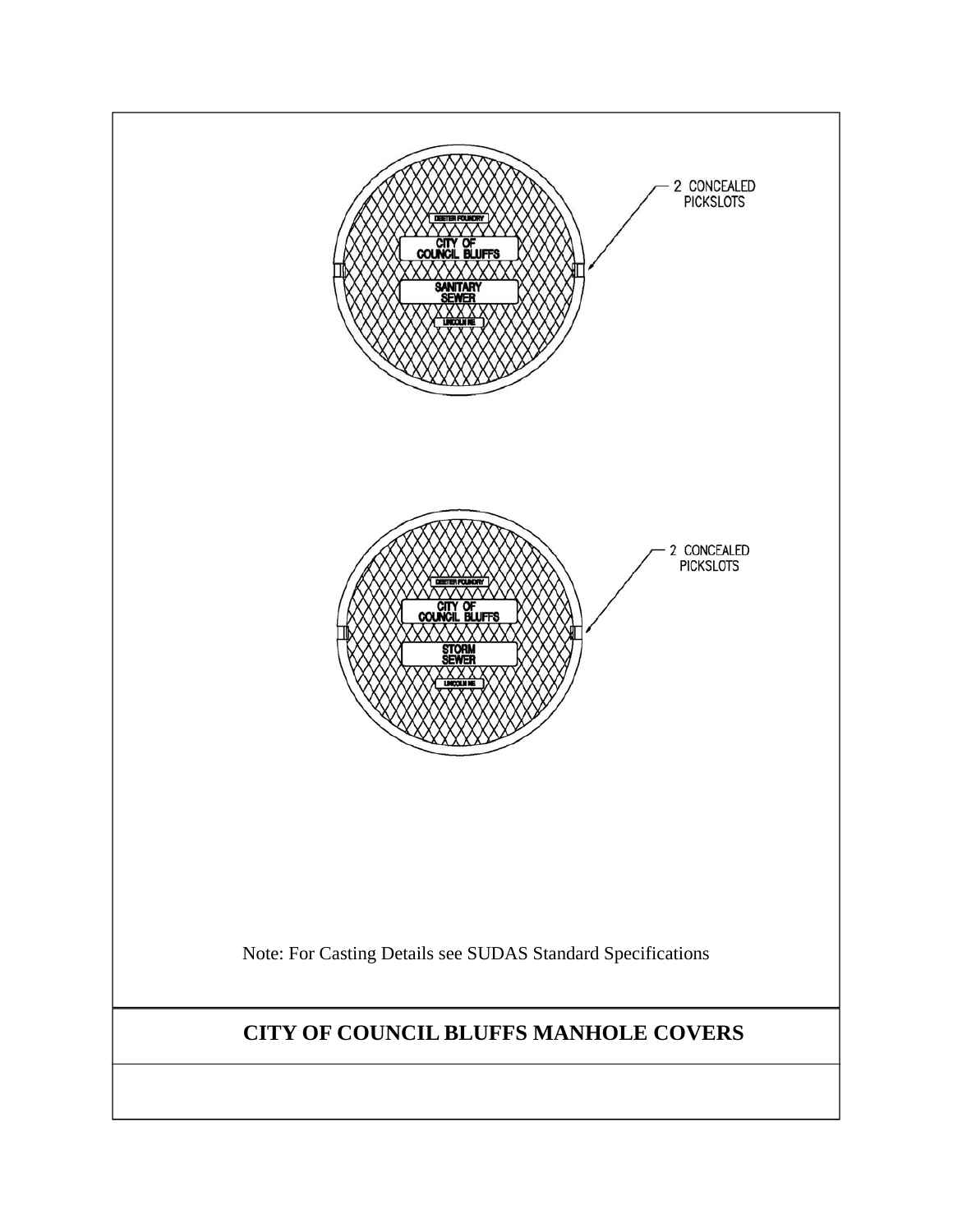